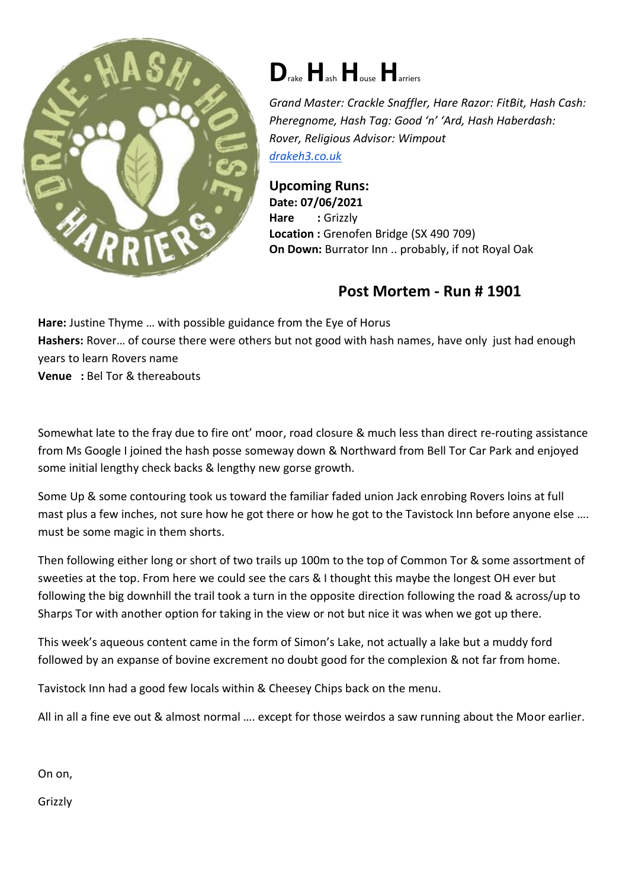

## **D**rake**H**ash**H**ouse**H**arriers

*Grand Master: Crackle Snaffler, Hare Razor: FitBit, Hash Cash: Pheregnome, Hash Tag: Good 'n' 'Ard, Hash Haberdash: Rover, Religious Advisor: Wimpout [drakeh3.co.uk](http://drakeh3.co.uk/)*

**Upcoming Runs: Date: 07/06/2021** Hare : Grizzly **Location :** Grenofen Bridge (SX 490 709) **On Down:** Burrator Inn .. probably, if not Royal Oak

## **Post Mortem - Run # 1901**

**Hare:** Justine Thyme … with possible guidance from the Eye of Horus **Hashers:** Rover… of course there were others but not good with hash names, have only just had enough years to learn Rovers name **Venue :** Bel Tor & thereabouts

Somewhat late to the fray due to fire ont' moor, road closure & much less than direct re-routing assistance from Ms Google I joined the hash posse someway down & Northward from Bell Tor Car Park and enjoyed some initial lengthy check backs & lengthy new gorse growth.

Some Up & some contouring took us toward the familiar faded union Jack enrobing Rovers loins at full mast plus a few inches, not sure how he got there or how he got to the Tavistock Inn before anyone else …. must be some magic in them shorts.

Then following either long or short of two trails up 100m to the top of Common Tor & some assortment of sweeties at the top. From here we could see the cars & I thought this maybe the longest OH ever but following the big downhill the trail took a turn in the opposite direction following the road & across/up to Sharps Tor with another option for taking in the view or not but nice it was when we got up there.

This week's aqueous content came in the form of Simon's Lake, not actually a lake but a muddy ford followed by an expanse of bovine excrement no doubt good for the complexion & not far from home.

Tavistock Inn had a good few locals within & Cheesey Chips back on the menu.

All in all a fine eve out & almost normal …. except for those weirdos a saw running about the Moor earlier.

On on,

Grizzly